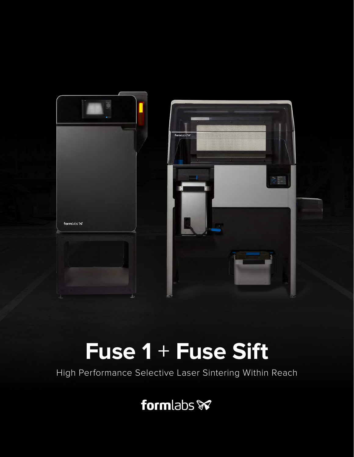

# **Fuse 1** + **Fuse Sift**

High Performance Selective Laser Sintering Within Reach

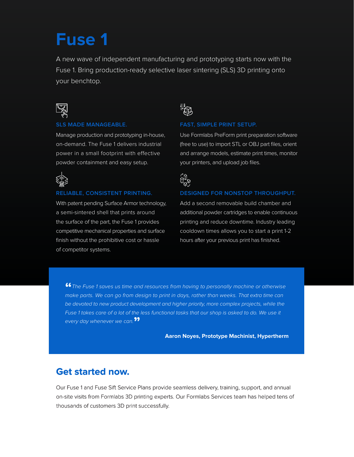## **Fuse 1**

A new wave of independent manufacturing and prototyping starts now with the Fuse 1. Bring production-ready selective laser sintering (SLS) 3D printing onto your benchtop.



#### **SLS MADE MANAGEABLE.**

Manage production and prototyping in-house, on-demand. The Fuse 1 delivers industrial power in a small footprint with effective powder containment and easy setup.



#### **RELIABLE, CONSISTENT PRINTING.**

With patent pending Surface Armor technology, a semi-sintered shell that prints around the surface of the part, the Fuse 1 provides competitive mechanical properties and surface finish without the prohibitive cost or hassle of competitor systems.



#### **FAST, SIMPLE PRINT SETUP.**

Use Formlabs PreForm print preparation software (free to use) to import STL or OBJ part files, orient and arrange models, estimate print times, monitor your printers, and upload job files.



#### **DESIGNED FOR NONSTOP THROUGHPUT.**

Add a second removable build chamber and additional powder cartridges to enable continuous printing and reduce downtime. Industry leading cooldown times allows you to start a print 1-2 hours after your previous print has finished.

**"**The Fuse 1 saves us time and resources from having to personally machine or otherwise make parts. We can go from design to print in days, rather than weeks. That extra time can be devoted to new product development and higher priority, more complex projects, while the Fuse 1 takes care of a lot of the less functional tasks that our shop is asked to do. We use it every day whenever we can.**"**

**Aaron Noyes, Prototype Machinist, Hypertherm**

#### **Get started now.**

Our Fuse 1 and Fuse Sift Service Plans provide seamless delivery, training, support, and annual on-site visits from Formlabs 3D printing experts. Our Formlabs Services team has helped tens of thousands of customers 3D print successfully.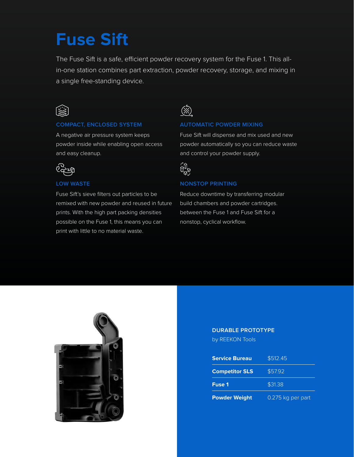# **Fuse Sift**

The Fuse Sift is a safe, efficient powder recovery system for the Fuse 1. This allin-one station combines part extraction, powder recovery, storage, and mixing in a single free-standing device.



#### **COMPACT, ENCLOSED SYSTEM**

A negative air pressure system keeps powder inside while enabling open access and easy cleanup.



#### **LOW WASTE**

Fuse Sift's sieve filters out particles to be remixed with new powder and reused in future prints. With the high part packing densities possible on the Fuse 1, this means you can print with little to no material waste.



#### **AUTOMATIC POWDER MIXING**

Fuse Sift will dispense and mix used and new powder automatically so you can reduce waste and control your powder supply.



#### **NONSTOP PRINTING**

Reduce downtime by transferring modular build chambers and powder cartridges. between the Fuse 1 and Fuse Sift for a nonstop, cyclical workflow.



#### **DURABLE PROTOTYPE**

by REEKON Tools

| <b>Service Bureau</b> | \$512.45          |
|-----------------------|-------------------|
| <b>Competitor SLS</b> | \$57.92           |
| <b>Fuse 1</b>         | \$31.38           |
| <b>Powder Weight</b>  | 0.275 kg per part |